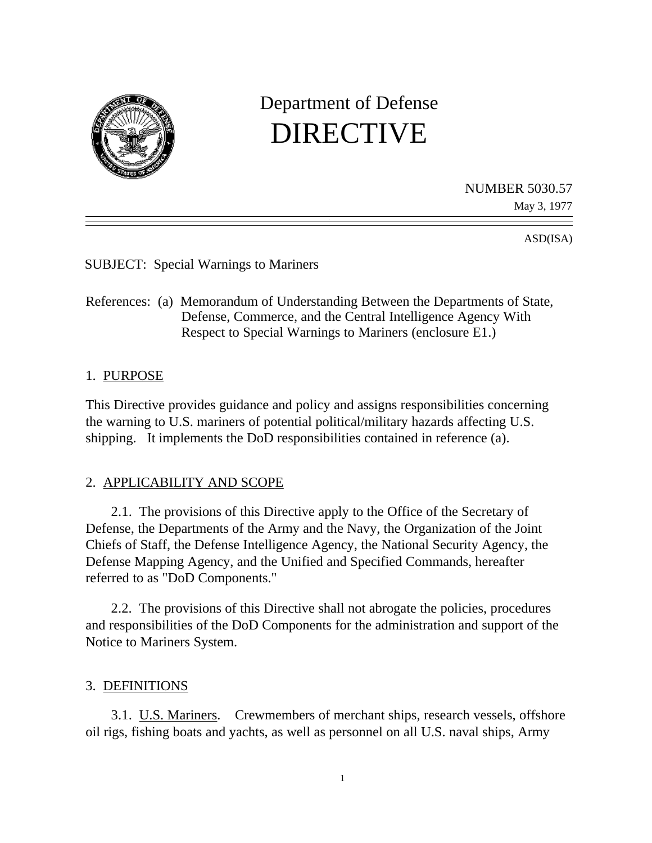

# Department of Defense DIRECTIVE

NUMBER 5030.57

May 3, 1977

ASD(ISA)

SUBJECT: Special Warnings to Mariners

References: (a) Memorandum of Understanding Between the Departments of State, Defense, Commerce, and the Central Intelligence Agency With Respect to Special Warnings to Mariners (enclosure E1.)

# 1. PURPOSE

This Directive provides guidance and policy and assigns responsibilities concerning the warning to U.S. mariners of potential political/military hazards affecting U.S. shipping. It implements the DoD responsibilities contained in reference (a).

# 2. APPLICABILITY AND SCOPE

2.1. The provisions of this Directive apply to the Office of the Secretary of Defense, the Departments of the Army and the Navy, the Organization of the Joint Chiefs of Staff, the Defense Intelligence Agency, the National Security Agency, the Defense Mapping Agency, and the Unified and Specified Commands, hereafter referred to as "DoD Components."

2.2. The provisions of this Directive shall not abrogate the policies, procedures and responsibilities of the DoD Components for the administration and support of the Notice to Mariners System.

# 3. DEFINITIONS

3.1. U.S. Mariners. Crewmembers of merchant ships, research vessels, offshore oil rigs, fishing boats and yachts, as well as personnel on all U.S. naval ships, Army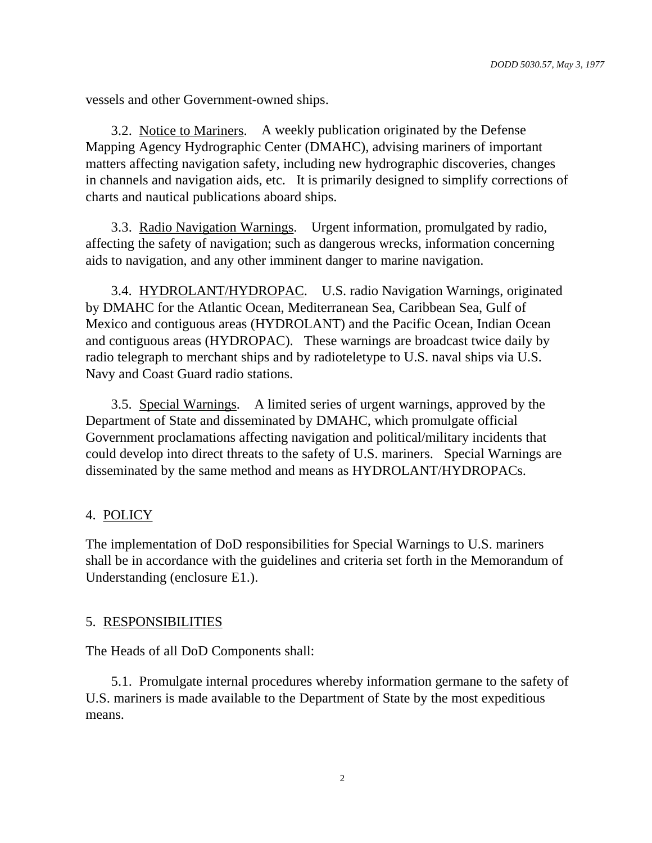vessels and other Government-owned ships.

3.2. Notice to Mariners. A weekly publication originated by the Defense Mapping Agency Hydrographic Center (DMAHC), advising mariners of important matters affecting navigation safety, including new hydrographic discoveries, changes in channels and navigation aids, etc. It is primarily designed to simplify corrections of charts and nautical publications aboard ships.

3.3. Radio Navigation Warnings. Urgent information, promulgated by radio, affecting the safety of navigation; such as dangerous wrecks, information concerning aids to navigation, and any other imminent danger to marine navigation.

3.4. HYDROLANT/HYDROPAC. U.S. radio Navigation Warnings, originated by DMAHC for the Atlantic Ocean, Mediterranean Sea, Caribbean Sea, Gulf of Mexico and contiguous areas (HYDROLANT) and the Pacific Ocean, Indian Ocean and contiguous areas (HYDROPAC). These warnings are broadcast twice daily by radio telegraph to merchant ships and by radioteletype to U.S. naval ships via U.S. Navy and Coast Guard radio stations.

3.5. Special Warnings. A limited series of urgent warnings, approved by the Department of State and disseminated by DMAHC, which promulgate official Government proclamations affecting navigation and political/military incidents that could develop into direct threats to the safety of U.S. mariners. Special Warnings are disseminated by the same method and means as HYDROLANT/HYDROPACs.

# 4. POLICY

The implementation of DoD responsibilities for Special Warnings to U.S. mariners shall be in accordance with the guidelines and criteria set forth in the Memorandum of Understanding (enclosure E1.).

# 5. RESPONSIBILITIES

The Heads of all DoD Components shall:

5.1. Promulgate internal procedures whereby information germane to the safety of U.S. mariners is made available to the Department of State by the most expeditious means.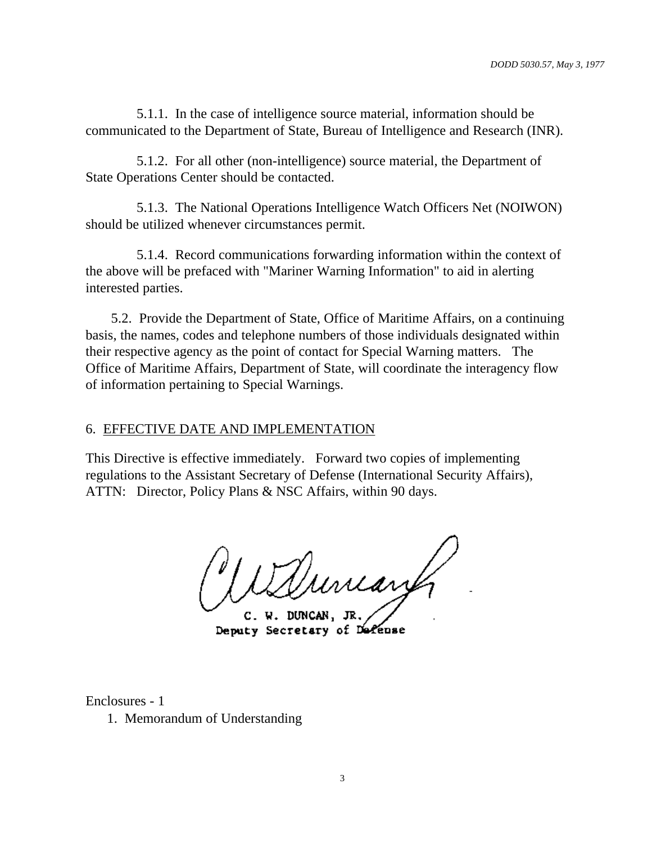5.1.1. In the case of intelligence source material, information should be communicated to the Department of State, Bureau of Intelligence and Research (INR).

5.1.2. For all other (non-intelligence) source material, the Department of State Operations Center should be contacted.

5.1.3. The National Operations Intelligence Watch Officers Net (NOIWON) should be utilized whenever circumstances permit.

5.1.4. Record communications forwarding information within the context of the above will be prefaced with "Mariner Warning Information" to aid in alerting interested parties.

5.2. Provide the Department of State, Office of Maritime Affairs, on a continuing basis, the names, codes and telephone numbers of those individuals designated within their respective agency as the point of contact for Special Warning matters. The Office of Maritime Affairs, Department of State, will coordinate the interagency flow of information pertaining to Special Warnings.

# 6. EFFECTIVE DATE AND IMPLEMENTATION

This Directive is effective immediately. Forward two copies of implementing regulations to the Assistant Secretary of Defense (International Security Affairs), ATTN: Director, Policy Plans & NSC Affairs, within 90 days.

Vuncant

C. W. DUNCAN, JR Deputy Secretary of Defense

Enclosures - 1

1. Memorandum of Understanding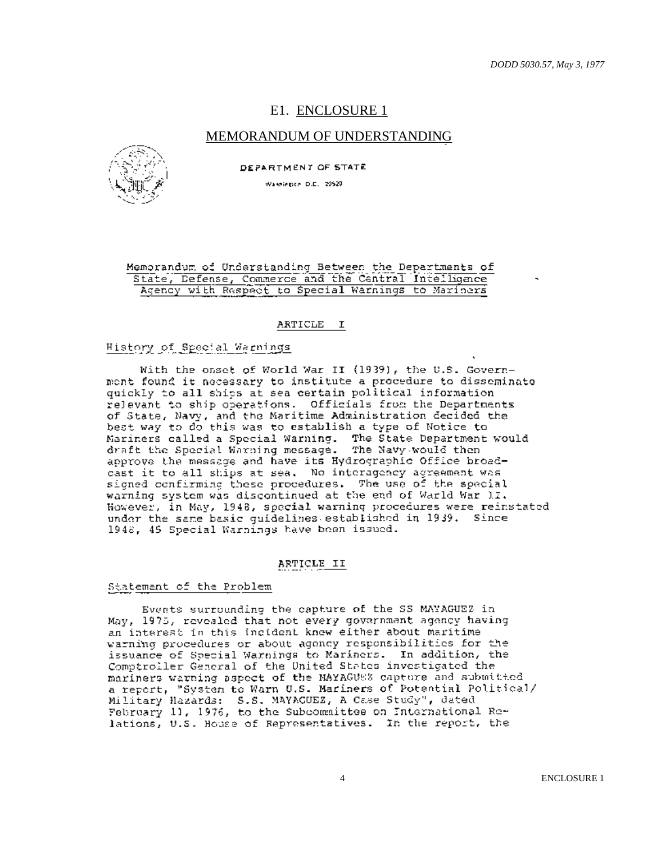# E1. ENCLOSURE 1

## MEMORANDUM OF UNDERSTANDING



DEPARTMENT OF STATE

Wassierice D.C. 20520

#### Memorandum of Understanding Between the Departments of State, Defense, Commerce and the Central Intelligence Agency with Respect to Special Warnings to Mariners

#### ARTICLE I

## History of Special Warnings

With the onset of World War II (1939), the U.S. Government found it necessary to institute a procedure to disseminate quickly to all ships at sea certain political information relevant to ship operations. Officials from the Departments of State, Navy, and the Maritime Administration decided the best way to do this was to establish a type of Notice to Mariners called a Special Warning. The State Department would<br>draft the Special Warning message. The Navy would then approve the message and have its Hydrographic Office broadcast it to all ships at sea. No interagency agreement was signed confirming these procedures. The use of the special warning system was discontinued at the end of Warld War II. However, in May, 1948, special warning procedures were reinstated under the same basic quidelines established in 1939. Since 1948, 45 Special Warnings have been issued.

#### ARTICLE II

#### Statement of the Problem

Events surrounding the capture of the SS MAYAGUEZ in May, 1975, revealed that not every government agency having an interest in this incident knew either about maritime warning procedures or about agency responsibilities for the issuance of Special Warnings to Mariners. In addition, the Comptroller General of the United States investigated the mariners warning aspect of the MAYAGUSS capture and submitted a report, "System to Warn U.S. Mariners of Potential Political/ Military Hazards: S.S. MAYACUEZ, A Case Study", dated<br>February 11, 1976, to the Subcommittee on International Relations, U.S. House of Representatives. In the report, the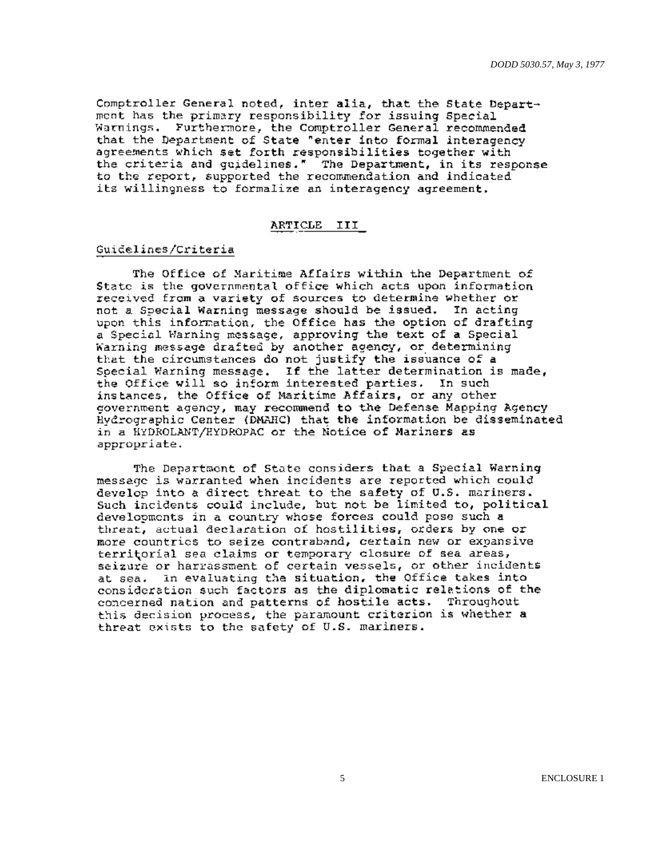Comptroller General noted, inter alia, that the State Department has the primary responsibility for issuing Special Warnings. Furthermore, the Comptroller General recommended that the Department of State "enter into formal interagency agreements which set forth responsibilities together with the criteria and guidelines." The Department, in its response to the report, supported the recommendation and indicated its willingness to formalize an interagency agreement.

#### ARTICLE III

#### Guidelines/Criteria

The Office of Maritime Affairs within the Department of State is the governmental office which acts upon information received from a variety of sources to determine whether or not a Special Warning message should be issued. In acting upon this information, the Office has the option of drafting a Special Warning message, approving the text of a Special Warning message drafted by another agency, or determining that the circumstances do not justify the issuance of a Special Warning message. If the latter determination is made, the Office will so inform interested parties. In such instances, the Office of Maritime Affairs, or any other government agency, may recommend to the Defense Mapping Agency Hydrographic Center (DMAHC) that the information be disseminated in a HYDROLANT/HYDROPAC or the Notice of Mariners as appropriate.

The Department of State considers that a Special Warning message is warranted when incidents are reported which could develop into a direct threat to the safety of U.S. mariners. Such incidents could include, but not be limited to, political developments in a country whose forces could pose such a threat, actual declaration of hostilities, orders by one or more countrics to seize contraband, certain new or expansive territorial sea claims or temporary closure of sea areas, seizure or harrassment of certain vessels, or other incidents In evaluating the situation, the Office takes into at sea. consideration such factors as the diplomatic relations of the concerned nation and patterns of hostile acts. Throughout this decision process, the paramount criterion is whether a threat exists to the safety of U.S. mariners.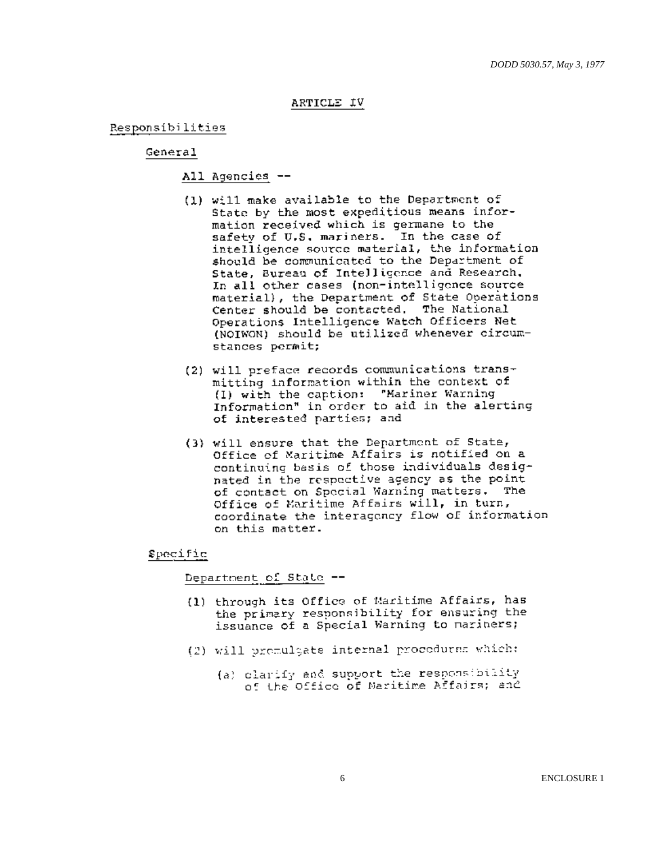## ARTICLE IV

Responsibilities

## General

## All Agencies --

- (1) will make available to the Department of State by the most expeditious means information received which is germane to the safety of U.S. mariners. In the case of intelligence source material, the information should be communicated to the Department of State, Bureau of Intelligence and Research, In all other cases (non-intelligence source material), the Department of State Operations Center should be contacted. The National Operations Intelligence Watch Officers Net (NOIWON) should be utilized whenever circumstances permit;
- (2) will preface records communications transmitting information within the context of (1) with the caption: "Mariner Warning Information" in order to aid in the alerting of interested parties; and
- (3) will ensure that the Department of State, Office of Maritime Affairs is notified on a continuing basis of those individuals designated in the respective agency as the point of contact on Special Warning matters. The Office of Maritime Affairs will, in turn, coordinate the interagency flow of information on this matter.

#### Specific

Department of State --

- (1) through its Office of Maritime Affairs, has the primary responsibility for ensuring the issuance of a Special Warning to mariners;
- (2) will premulgate internal procedures which:
	- (a) clarify and support the responsibility of the Office of Naritime Affairs; and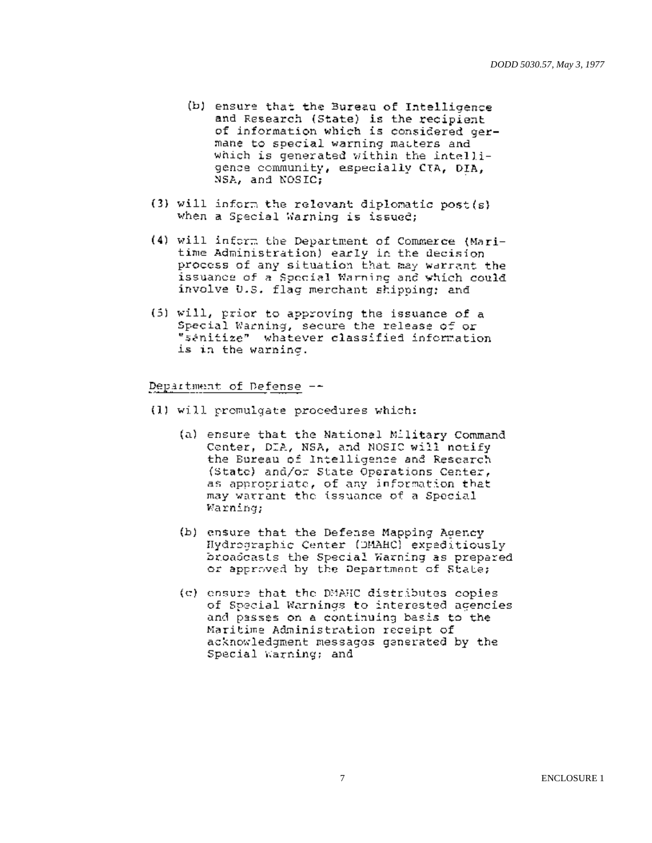- (b) ensure that the Bureau of Intelligence and Research (State) is the recipient of information which is considered germane to special warning matters and which is generated within the intelligence community, especially CTA, DIA, NSA, and NOSIC:
- (3) will inform the relevant diplomatic post(s) when a Special Warning is issued;
- (4) will inform the Department of Commerce (Maritime Administration) early in the decision process of any situation that may warrant the issuance of a Special Warning and which could involve U.S. flag merchant shipping; and
- (5) will, prior to approving the issuance of a Special Warning, secure the release of or "sanitize" whatever classified information is in the warning.

## Department of Defense --

- (1) will promulgate procedures which:
	- (a) ensure that the National Military Command Center, DIA, NSA, and NOSIC will notify the Bureau of Intelligence and Research (State) and/or State Operations Center, as appropriate, of any information that may warrant the issuance of a Special Warning;
	- (b) ensure that the Defense Mapping Agency Hydrographic Center (DMAHC) expeditiously broadcasts the Special Warning as prepared or approved by the Department of State;
	- (c) ensure that the DMAHC distributes copies of Special Warnings to interested agencies and passes on a continuing basis to the Maritime Administration receipt of acknowledgment messages generated by the Special Warning; and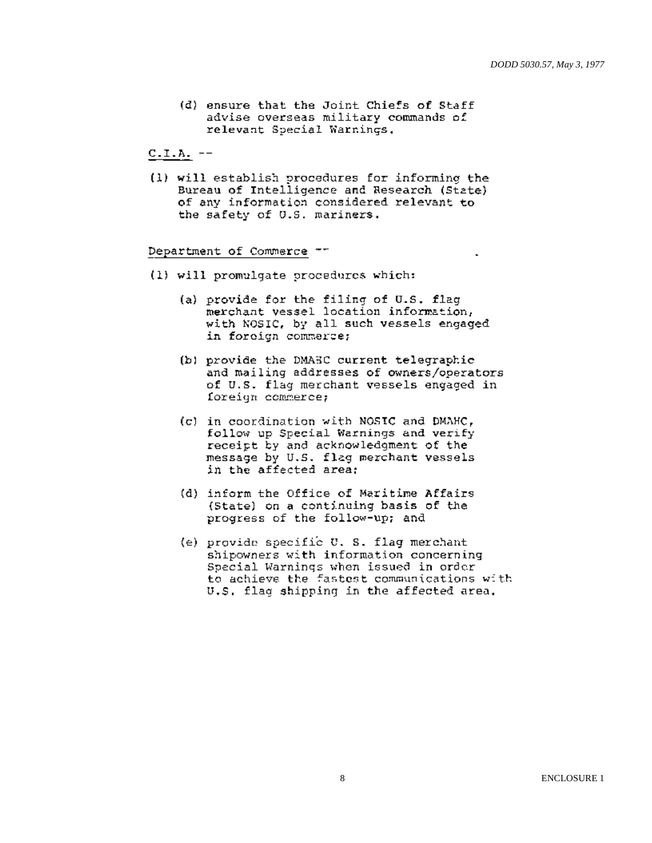(d) ensure that the Joint Chiefs of Staff advise overseas military commands of relevant Special Warnings.

 $C.L.A. --$ 

(1) will establish procedures for informing the Bureau of Intelligence and Research (State) of any information considered relevant to the safety of U.S. mariners.

#### Department of Commerce --

- (1) will promulgate procedures which:
	- (a) provide for the filing of U.S. flag merchant vessel location information, with NOSIC, by all such vessels engaged in foreign commerce;
	- (b) provide the DMAEC current telegraphic and mailing addresses of owners/operators of U.S. flag merchant vessels engaged in foreign commerce;
	- (c) in coordination with NOSIC and DMAHC, follow up Special Warnings and verify receipt by and acknowledgment of the message by U.S. flag merchant vessels in the affected area:
	- (d) inform the Office of Maritime Affairs (State) on a continuing basis of the progress of the follow-up; and
	- (e) provide specific U. S. flag merchant shipowners with information concerning Special Warnings when issued in order to achieve the fastest communications with U.S. flag shipping in the affected area.